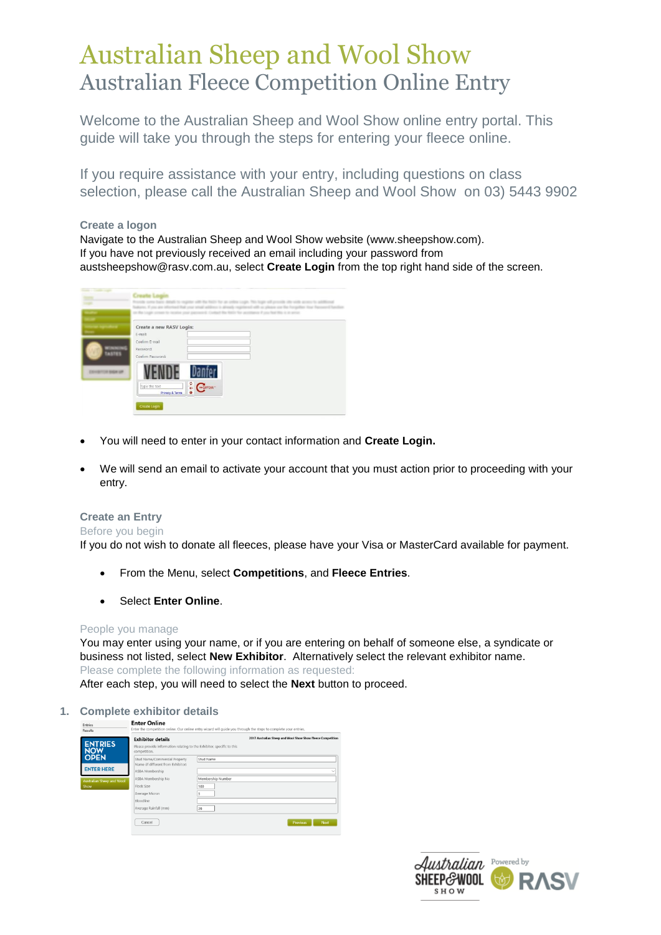# Australian Sheep and Wool Show Australian Fleece Competition Online Entry

Welcome to the Australian Sheep and Wool Show online entry portal. This guide will take you through the steps for entering your fleece online.

If you require assistance with your entry, including questions on class selection, please call the Australian Sheep and Wool Show on 03) 5443 9902

#### **Create a logon**

Navigate to the Australian Sheep and Wool Show website (www.sheepshow.com). If you have not previously received an email including your password from [austsheepshow@rasv.com.au,](mailto:austsheepshow@rasv.com.au) select **Create Login** from the top right hand side of the screen.

|                                 | <b>Big is a great</b>                                                                                                                                                        |
|---------------------------------|------------------------------------------------------------------------------------------------------------------------------------------------------------------------------|
| <b>TASTES</b><br>THE REGION AND | Create a new RASV Login:<br>E-mail:<br>Confirm E-mail<br>Password:<br>Confirm Password:<br>$\frac{6}{6}$ C $\frac{6}{6}$<br>Type the text<br>Privacy & Terms<br>Create Login |

- You will need to enter in your contact information and **Create Login.**
- We will send an email to activate your account that you must action prior to proceeding with your entry.

#### **Create an Entry**

#### Before you begin

If you do not wish to donate all fleeces, please have your Visa or MasterCard available for payment.

- From the Menu, select **Competitions**, and **Fleece Entries**.
- Select **Enter Online**.

#### People you manage

You may enter using your name, or if you are entering on behalf of someone else, a syndicate or business not listed, select **New Exhibitor**. Alternatively select the relevant exhibitor name. Please complete the following information as requested:

After each step, you will need to select the **Next** button to proceed.

### **1. Complete exhibitor details**

| <b>Entries</b><br>Results<br><b>ENTRIES</b><br><b>NOW</b> | <b>Enter Unline</b><br><b>Exhibitor details</b><br>Please provide information relating to the Exhibitor, specific to this<br>competition. | Enter the competition online. Our online entry wizard will quide you through the steps to complete your entries.<br>2017 Australian Sheep and Wool Show Show Fleece Competition |
|-----------------------------------------------------------|-------------------------------------------------------------------------------------------------------------------------------------------|---------------------------------------------------------------------------------------------------------------------------------------------------------------------------------|
| <b>OPEN</b>                                               | Stud Name/Commercial Property<br>Name (if different from Exhibitor)                                                                       | Stud Name                                                                                                                                                                       |
| <b>ENTER HERE</b>                                         | ASBA Membership                                                                                                                           |                                                                                                                                                                                 |
| Australian Sheep and Wool                                 | ASBA Membership No                                                                                                                        | Membership Number                                                                                                                                                               |
| Show                                                      | Flock Size                                                                                                                                | 100                                                                                                                                                                             |
|                                                           | Average Micron                                                                                                                            |                                                                                                                                                                                 |
|                                                           | Bloodline                                                                                                                                 |                                                                                                                                                                                 |
|                                                           | Average Rainfall (mm)                                                                                                                     | 36                                                                                                                                                                              |
|                                                           | Cancel                                                                                                                                    | Next<br>Previous                                                                                                                                                                |